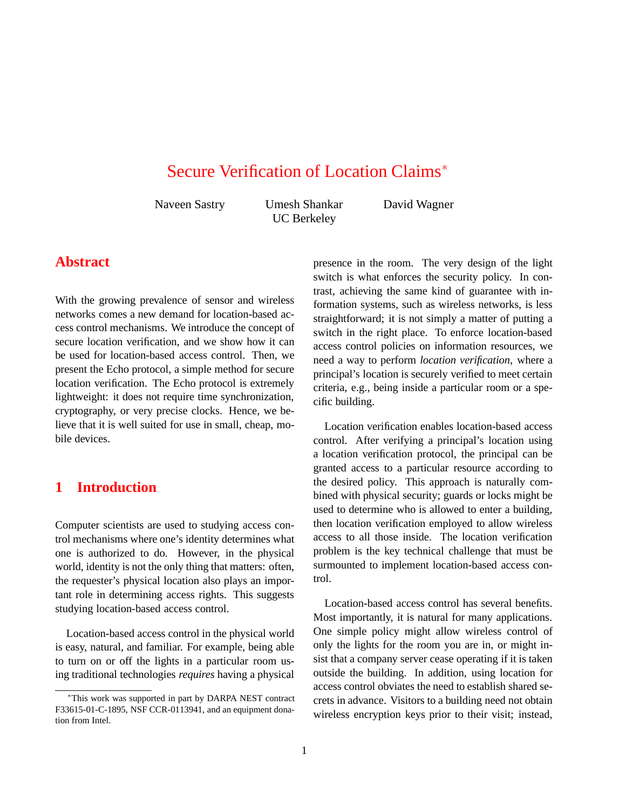# Secure Verification of Location Claims<sup>∗</sup>

Naveen Sastry Umesh Shankar UC Berkeley

David Wagner

# **Abstract**

With the growing prevalence of sensor and wireless networks comes a new demand for location-based access control mechanisms. We introduce the concept of secure location verification, and we show how it can be used for location-based access control. Then, we present the Echo protocol, a simple method for secure location verification. The Echo protocol is extremely lightweight: it does not require time synchronization, cryptography, or very precise clocks. Hence, we believe that it is well suited for use in small, cheap, mobile devices.

# **1 Introduction**

Computer scientists are used to studying access control mechanisms where one's identity determines what one is authorized to do. However, in the physical world, identity is not the only thing that matters: often, the requester's physical location also plays an important role in determining access rights. This suggests studying location-based access control.

Location-based access control in the physical world is easy, natural, and familiar. For example, being able to turn on or off the lights in a particular room using traditional technologies *requires* having a physical presence in the room. The very design of the light switch is what enforces the security policy. In contrast, achieving the same kind of guarantee with information systems, such as wireless networks, is less straightforward; it is not simply a matter of putting a switch in the right place. To enforce location-based access control policies on information resources, we need a way to perform *location verification*, where a principal's location is securely verified to meet certain criteria, e.g., being inside a particular room or a specific building.

Location verification enables location-based access control. After verifying a principal's location using a location verification protocol, the principal can be granted access to a particular resource according to the desired policy. This approach is naturally combined with physical security; guards or locks might be used to determine who is allowed to enter a building, then location verification employed to allow wireless access to all those inside. The location verification problem is the key technical challenge that must be surmounted to implement location-based access control.

Location-based access control has several benefits. Most importantly, it is natural for many applications. One simple policy might allow wireless control of only the lights for the room you are in, or might insist that a company server cease operating if it is taken outside the building. In addition, using location for access control obviates the need to establish shared secrets in advance. Visitors to a building need not obtain wireless encryption keys prior to their visit; instead,

<sup>∗</sup>This work was supported in part by DARPA NEST contract F33615-01-C-1895, NSF CCR-0113941, and an equipment donation from Intel.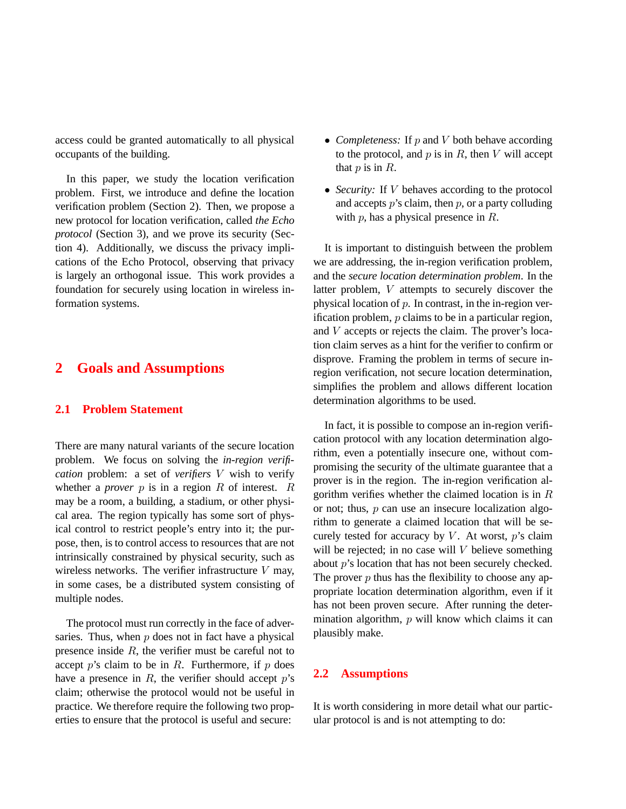access could be granted automatically to all physical occupants of the building.

In this paper, we study the location verification problem. First, we introduce and define the location verification problem (Section 2). Then, we propose a new protocol for location verification, called *the Echo protocol* (Section 3), and we prove its security (Section 4). Additionally, we discuss the privacy implications of the Echo Protocol, observing that privacy is largely an orthogonal issue. This work provides a foundation for securely using location in wireless information systems.

## **2 Goals and Assumptions**

#### **2.1 Problem Statement**

There are many natural variants of the secure location problem. We focus on solving the *in-region verification* problem: a set of *verifiers* V wish to verify whether a *prover*  $p$  is in a region  $R$  of interest.  $R$ may be a room, a building, a stadium, or other physical area. The region typically has some sort of physical control to restrict people's entry into it; the purpose, then, is to control access to resources that are not intrinsically constrained by physical security, such as wireless networks. The verifier infrastructure  $V$  may, in some cases, be a distributed system consisting of multiple nodes.

The protocol must run correctly in the face of adversaries. Thus, when  $p$  does not in fact have a physical presence inside  $R$ , the verifier must be careful not to accept  $p$ 's claim to be in  $R$ . Furthermore, if  $p$  does have a presence in  $R$ , the verifier should accept  $p$ 's claim; otherwise the protocol would not be useful in practice. We therefore require the following two properties to ensure that the protocol is useful and secure:

- *Completeness:* If p and V both behave according to the protocol, and  $p$  is in  $R$ , then  $V$  will accept that  $p$  is in  $R$ .
- *Security:* If *V* behaves according to the protocol and accepts  $p$ 's claim, then  $p$ , or a party colluding with  $p$ , has a physical presence in  $R$ .

It is important to distinguish between the problem we are addressing, the in-region verification problem, and the *secure location determination problem*. In the latter problem, V attempts to securely discover the physical location of  $p$ . In contrast, in the in-region verification problem,  $p$  claims to be in a particular region, and V accepts or rejects the claim. The prover's location claim serves as a hint for the verifier to confirm or disprove. Framing the problem in terms of secure inregion verification, not secure location determination, simplifies the problem and allows different location determination algorithms to be used.

In fact, it is possible to compose an in-region verification protocol with any location determination algorithm, even a potentially insecure one, without compromising the security of the ultimate guarantee that a prover is in the region. The in-region verification algorithm verifies whether the claimed location is in  $R$ or not; thus, p can use an insecure localization algorithm to generate a claimed location that will be securely tested for accuracy by  $V$ . At worst,  $p$ 's claim will be rejected; in no case will  $V$  believe something about p's location that has not been securely checked. The prover  $p$  thus has the flexibility to choose any appropriate location determination algorithm, even if it has not been proven secure. After running the determination algorithm,  $p$  will know which claims it can plausibly make.

#### **2.2 Assumptions**

It is worth considering in more detail what our particular protocol is and is not attempting to do: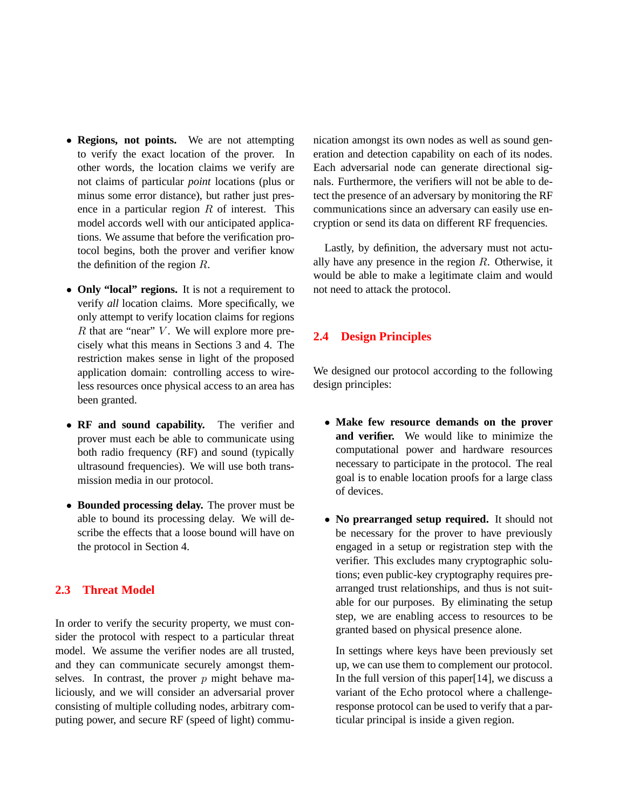- **Regions, not points.** We are not attempting to verify the exact location of the prover. In other words, the location claims we verify are not claims of particular *point* locations (plus or minus some error distance), but rather just presence in a particular region  $R$  of interest. This model accords well with our anticipated applications. We assume that before the verification protocol begins, both the prover and verifier know the definition of the region R.
- **Only "local" regions.** It is not a requirement to verify *all* location claims. More specifically, we only attempt to verify location claims for regions  $R$  that are "near"  $V$ . We will explore more precisely what this means in Sections 3 and 4. The restriction makes sense in light of the proposed application domain: controlling access to wireless resources once physical access to an area has been granted.
- **RF and sound capability.** The verifier and prover must each be able to communicate using both radio frequency (RF) and sound (typically ultrasound frequencies). We will use both transmission media in our protocol.
- **Bounded processing delay.** The prover must be able to bound its processing delay. We will describe the effects that a loose bound will have on the protocol in Section 4.

### **2.3 Threat Model**

In order to verify the security property, we must consider the protocol with respect to a particular threat model. We assume the verifier nodes are all trusted, and they can communicate securely amongst themselves. In contrast, the prover  $p$  might behave maliciously, and we will consider an adversarial prover consisting of multiple colluding nodes, arbitrary computing power, and secure RF (speed of light) communication amongst its own nodes as well as sound generation and detection capability on each of its nodes. Each adversarial node can generate directional signals. Furthermore, the verifiers will not be able to detect the presence of an adversary by monitoring the RF communications since an adversary can easily use encryption or send its data on different RF frequencies.

Lastly, by definition, the adversary must not actually have any presence in the region  $R$ . Otherwise, it would be able to make a legitimate claim and would not need to attack the protocol.

### **2.4 Design Principles**

We designed our protocol according to the following design principles:

- **Make few resource demands on the prover and verifier.** We would like to minimize the computational power and hardware resources necessary to participate in the protocol. The real goal is to enable location proofs for a large class of devices.
- **No prearranged setup required.** It should not be necessary for the prover to have previously engaged in a setup or registration step with the verifier. This excludes many cryptographic solutions; even public-key cryptography requires prearranged trust relationships, and thus is not suitable for our purposes. By eliminating the setup step, we are enabling access to resources to be granted based on physical presence alone.

In settings where keys have been previously set up, we can use them to complement our protocol. In the full version of this paper[14], we discuss a variant of the Echo protocol where a challengeresponse protocol can be used to verify that a particular principal is inside a given region.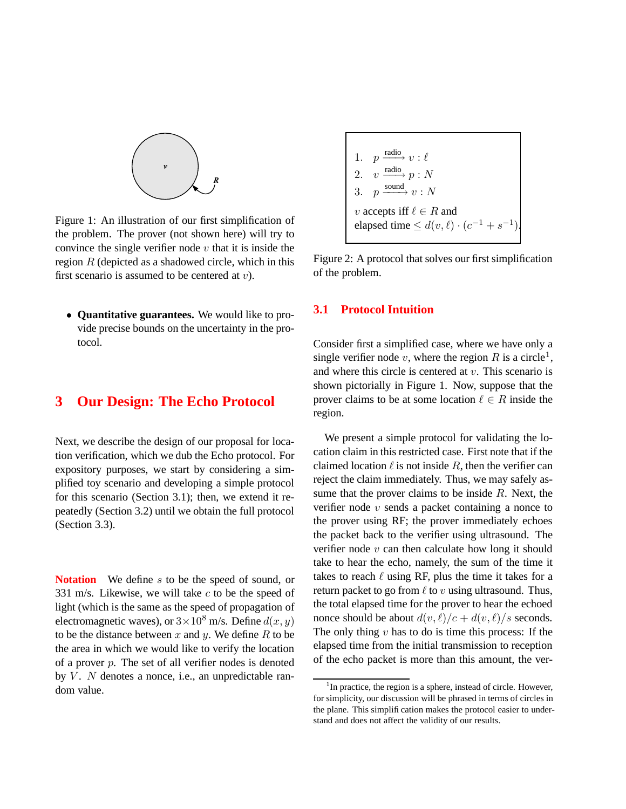

Figure 1: An illustration of our first simplification of the problem. The prover (not shown here) will try to convince the single verifier node  $v$  that it is inside the region  $R$  (depicted as a shadowed circle, which in this first scenario is assumed to be centered at  $v$ ).

• **Quantitative guarantees.** We would like to provide precise bounds on the uncertainty in the protocol.

# **3 Our Design: The Echo Protocol**

Next, we describe the design of our proposal for location verification, which we dub the Echo protocol. For expository purposes, we start by considering a simplified toy scenario and developing a simple protocol for this scenario (Section 3.1); then, we extend it repeatedly (Section 3.2) until we obtain the full protocol (Section 3.3).

**Notation** We define s to be the speed of sound, or 331 m/s. Likewise, we will take  $c$  to be the speed of light (which is the same as the speed of propagation of electromagnetic waves), or  $3 \times 10^8$  m/s. Define  $d(x, y)$ to be the distance between  $x$  and  $y$ . We define  $R$  to be the area in which we would like to verify the location of a prover  $p$ . The set of all verifier nodes is denoted by  $V$ . N denotes a nonce, i.e., an unpredictable random value.

1. p  $\xrightarrow{\text{radio}} v : \ell$  $\overline{2}$ . radio 3.  $p \xrightarrow{\text{sound}} v : N$ v accepts iff  $\ell \in R$  and elapsed time  $\leq d(v, \ell) \cdot (c^{-1} + s^{-1}).$ 

Figure 2: A protocol that solves our first simplification of the problem.

### **3.1 Protocol Intuition**

Consider first a simplified case, where we have only a single verifier node v, where the region R is a circle<sup>1</sup>, and where this circle is centered at  $v$ . This scenario is shown pictorially in Figure 1. Now, suppose that the prover claims to be at some location  $\ell \in R$  inside the region.

We present a simple protocol for validating the location claim in this restricted case. First note that if the claimed location  $\ell$  is not inside R, then the verifier can reject the claim immediately. Thus, we may safely assume that the prover claims to be inside  $R$ . Next, the verifier node  $v$  sends a packet containing a nonce to the prover using RF; the prover immediately echoes the packet back to the verifier using ultrasound. The verifier node  $v$  can then calculate how long it should take to hear the echo, namely, the sum of the time it takes to reach  $\ell$  using RF, plus the time it takes for a return packet to go from  $\ell$  to v using ultrasound. Thus, the total elapsed time for the prover to hear the echoed nonce should be about  $d(v, \ell)/c + d(v, \ell)/s$  seconds. The only thing  $v$  has to do is time this process: If the elapsed time from the initial transmission to reception of the echo packet is more than this amount, the ver-

 $1$ In practice, the region is a sphere, instead of circle. However, for simplicity, our discussion will be phrased in terms of circles in the plane. This simplification makes the protocol easier to understand and does not affect the validity of our results.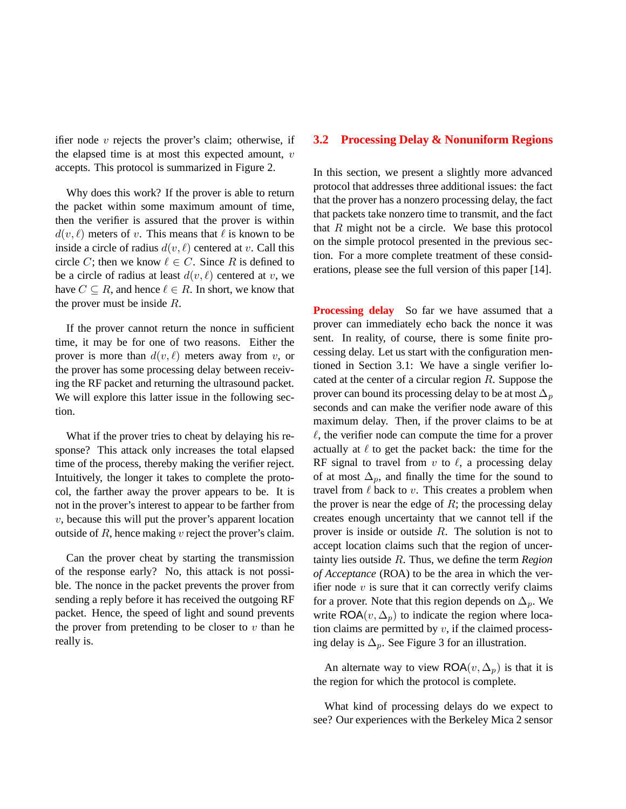ifier node  $v$  rejects the prover's claim; otherwise, if the elapsed time is at most this expected amount,  $v$ accepts. This protocol is summarized in Figure 2.

Why does this work? If the prover is able to return the packet within some maximum amount of time, then the verifier is assured that the prover is within  $d(v, \ell)$  meters of v. This means that  $\ell$  is known to be inside a circle of radius  $d(v, \ell)$  centered at v. Call this circle C; then we know  $\ell \in C$ . Since R is defined to be a circle of radius at least  $d(v, \ell)$  centered at v, we have  $C \subseteq R$ , and hence  $\ell \in R$ . In short, we know that the prover must be inside R.

If the prover cannot return the nonce in sufficient time, it may be for one of two reasons. Either the prover is more than  $d(v, \ell)$  meters away from v, or the prover has some processing delay between receiving the RF packet and returning the ultrasound packet. We will explore this latter issue in the following section.

What if the prover tries to cheat by delaying his response? This attack only increases the total elapsed time of the process, thereby making the verifier reject. Intuitively, the longer it takes to complete the protocol, the farther away the prover appears to be. It is not in the prover's interest to appear to be farther from  $v$ , because this will put the prover's apparent location outside of  $R$ , hence making  $v$  reject the prover's claim.

Can the prover cheat by starting the transmission of the response early? No, this attack is not possible. The nonce in the packet prevents the prover from sending a reply before it has received the outgoing RF packet. Hence, the speed of light and sound prevents the prover from pretending to be closer to  $v$  than he really is.

#### **3.2 Processing Delay & Nonuniform Regions**

In this section, we present a slightly more advanced protocol that addresses three additional issues: the fact that the prover has a nonzero processing delay, the fact that packets take nonzero time to transmit, and the fact that  $R$  might not be a circle. We base this protocol on the simple protocol presented in the previous section. For a more complete treatment of these considerations, please see the full version of this paper [14].

**Processing delay** So far we have assumed that a prover can immediately echo back the nonce it was sent. In reality, of course, there is some finite processing delay. Let us start with the configuration mentioned in Section 3.1: We have a single verifier located at the center of a circular region  $R$ . Suppose the prover can bound its processing delay to be at most  $\Delta_p$ seconds and can make the verifier node aware of this maximum delay. Then, if the prover claims to be at  $\ell$ , the verifier node can compute the time for a prover actually at  $\ell$  to get the packet back: the time for the RF signal to travel from  $v$  to  $\ell$ , a processing delay of at most  $\Delta_p$ , and finally the time for the sound to travel from  $\ell$  back to v. This creates a problem when the prover is near the edge of  $R$ ; the processing delay creates enough uncertainty that we cannot tell if the prover is inside or outside  $R$ . The solution is not to accept location claims such that the region of uncertainty lies outside R. Thus, we define the term *Region of Acceptance* (ROA) to be the area in which the verifier node  $v$  is sure that it can correctly verify claims for a prover. Note that this region depends on  $\Delta_p$ . We write  $\mathsf{ROA}(v, \Delta_p)$  to indicate the region where location claims are permitted by  $v$ , if the claimed processing delay is  $\Delta_p$ . See Figure 3 for an illustration.

An alternate way to view  $\mathsf{ROA}(v, \Delta_p)$  is that it is the region for which the protocol is complete.

What kind of processing delays do we expect to see? Our experiences with the Berkeley Mica 2 sensor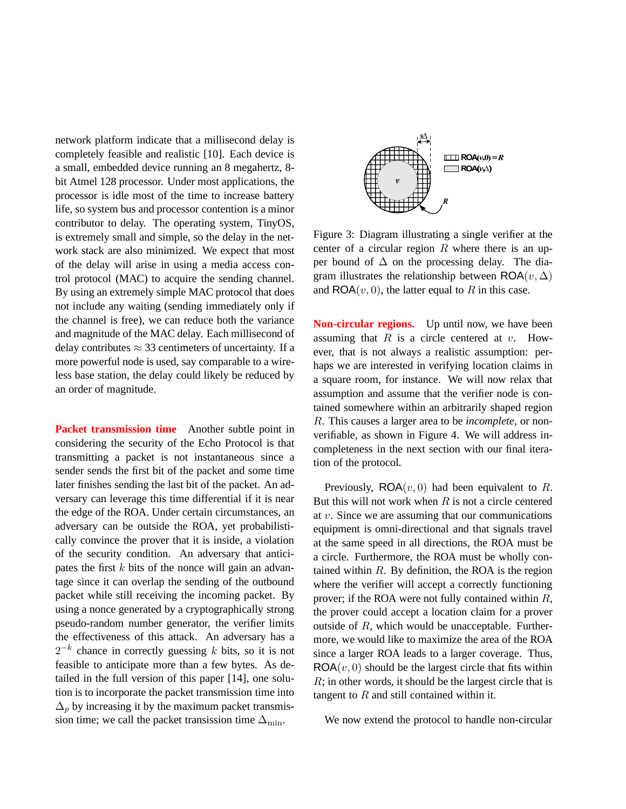network platform indicate that a millisecond delay is completely feasible and realistic [10]. Each device is a small, embedded device running an 8 megahertz, 8 bit Atmel 128 processor. Under most applications, the processor is idle most of the time to increase battery life, so system bus and processor contention is a minor contributor to delay. The operating system, TinyOS, is extremely small and simple, so the delay in the network stack are also minimized. We expect that most of the delay will arise in using a media access control protocol (MAC) to acquire the sending channel. By using an extremely simple MAC protocol that does not include any waiting (sending immediately only if the channel is free), we can reduce both the variance and magnitude of the MAC delay. Each millisecond of delay contributes  $\approx$  33 centimeters of uncertainty. If a more powerful node is used, say comparable to a wireless base station, the delay could likely be reduced by an order of magnitude.

**Packet transmission time** Another subtle point in considering the security of the Echo Protocol is that transmitting a packet is not instantaneous since a sender sends the first bit of the packet and some time later finishes sending the last bit of the packet. An adversary can leverage this time differential if it is near the edge of the ROA. Under certain circumstances, an adversary can be outside the ROA, yet probabilistically convince the prover that it is inside, a violation of the security condition. An adversary that anticipates the first  $k$  bits of the nonce will gain an advantage since it can overlap the sending of the outbound packet while still receiving the incoming packet. By using a nonce generated by a cryptographically strong pseudo-random number generator, the verifier limits the effectiveness of this attack. An adversary has a  $2^{-k}$  chance in correctly guessing k bits, so it is not feasible to anticipate more than a few bytes. As detailed in the full version of this paper [14], one solution is to incorporate the packet transmission time into  $\Delta_p$  by increasing it by the maximum packet transmission time; we call the packet transission time  $\Delta_{\text{min}}$ .



Figure 3: Diagram illustrating a single verifier at the center of a circular region  $R$  where there is an upper bound of  $\Delta$  on the processing delay. The diagram illustrates the relationship between  $\mathsf{ROA}(v, \Delta)$ and  $\mathsf{ROA}(v, 0)$ , the latter equal to R in this case.

**Non-circular regions.** Up until now, we have been assuming that  $R$  is a circle centered at  $v$ . However, that is not always a realistic assumption: perhaps we are interested in verifying location claims in a square room, for instance. We will now relax that assumption and assume that the verifier node is contained somewhere within an arbitrarily shaped region R. This causes a larger area to be *incomplete*, or nonverifiable, as shown in Figure 4. We will address incompleteness in the next section with our final iteration of the protocol.

Previously,  $\mathsf{ROA}(v, 0)$  had been equivalent to R. But this will not work when  $R$  is not a circle centered at v. Since we are assuming that our communications equipment is omni-directional and that signals travel at the same speed in all directions, the ROA must be a circle. Furthermore, the ROA must be wholly contained within  $R$ . By definition, the ROA is the region where the verifier will accept a correctly functioning prover; if the ROA were not fully contained within R, the prover could accept a location claim for a prover outside of R, which would be unacceptable. Furthermore, we would like to maximize the area of the ROA since a larger ROA leads to a larger coverage. Thus,  $ROA(v, 0)$  should be the largest circle that fits within R; in other words, it should be the largest circle that is tangent to  $R$  and still contained within it.

We now extend the protocol to handle non-circular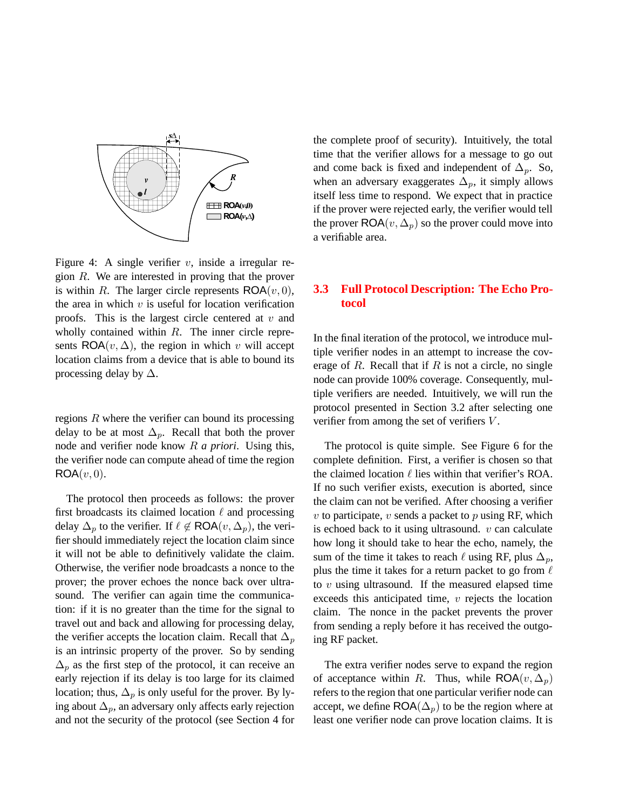

Figure 4: A single verifier  $v$ , inside a irregular region R. We are interested in proving that the prover is within R. The larger circle represents  $\mathsf{ROA}(v, 0)$ , the area in which  $v$  is useful for location verification proofs. This is the largest circle centered at  $v$  and wholly contained within R. The inner circle represents ROA $(v, \Delta)$ , the region in which v will accept location claims from a device that is able to bound its processing delay by  $\Delta$ .

regions  $R$  where the verifier can bound its processing delay to be at most  $\Delta_p$ . Recall that both the prover node and verifier node know R *a priori*. Using this, the verifier node can compute ahead of time the region  $ROA(v, 0)$ .

The protocol then proceeds as follows: the prover first broadcasts its claimed location  $\ell$  and processing delay  $\Delta_p$  to the verifier. If  $\ell \notin \textsf{ROA}(v, \Delta_p)$ , the verifier should immediately reject the location claim since it will not be able to definitively validate the claim. Otherwise, the verifier node broadcasts a nonce to the prover; the prover echoes the nonce back over ultrasound. The verifier can again time the communication: if it is no greater than the time for the signal to travel out and back and allowing for processing delay, the verifier accepts the location claim. Recall that  $\Delta_p$ is an intrinsic property of the prover. So by sending  $\Delta_p$  as the first step of the protocol, it can receive an early rejection if its delay is too large for its claimed location; thus,  $\Delta_p$  is only useful for the prover. By lying about  $\Delta_p$ , an adversary only affects early rejection and not the security of the protocol (see Section 4 for

the complete proof of security). Intuitively, the total time that the verifier allows for a message to go out and come back is fixed and independent of  $\Delta_p$ . So, when an adversary exaggerates  $\Delta_p$ , it simply allows itself less time to respond. We expect that in practice if the prover were rejected early, the verifier would tell the prover  $\mathsf{ROA}(v, \Delta_p)$  so the prover could move into a verifiable area.

### **3.3 Full Protocol Description: The Echo Protocol**

In the final iteration of the protocol, we introduce multiple verifier nodes in an attempt to increase the coverage of  $R$ . Recall that if  $R$  is not a circle, no single node can provide 100% coverage. Consequently, multiple verifiers are needed. Intuitively, we will run the protocol presented in Section 3.2 after selecting one verifier from among the set of verifiers V.

The protocol is quite simple. See Figure 6 for the complete definition. First, a verifier is chosen so that the claimed location  $\ell$  lies within that verifier's ROA. If no such verifier exists, execution is aborted, since the claim can not be verified. After choosing a verifier  $v$  to participate,  $v$  sends a packet to  $p$  using RF, which is echoed back to it using ultrasound.  $v$  can calculate how long it should take to hear the echo, namely, the sum of the time it takes to reach  $\ell$  using RF, plus  $\Delta_p$ , plus the time it takes for a return packet to go from  $\ell$ to  $v$  using ultrasound. If the measured elapsed time exceeds this anticipated time,  $v$  rejects the location claim. The nonce in the packet prevents the prover from sending a reply before it has received the outgoing RF packet.

The extra verifier nodes serve to expand the region of acceptance within R. Thus, while  $\mathsf{ROA}(v, \Delta_p)$ refers to the region that one particular verifier node can accept, we define  $\mathsf{ROA}(\Delta_p)$  to be the region where at least one verifier node can prove location claims. It is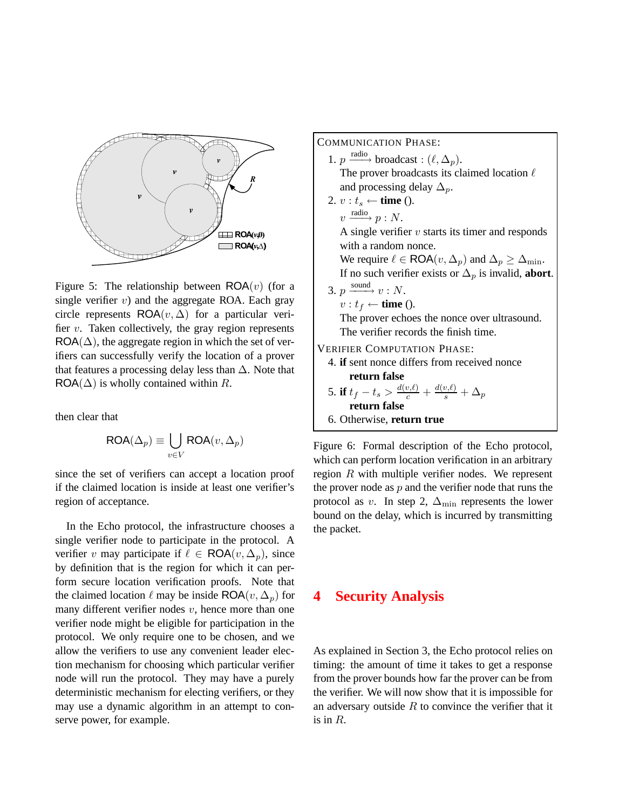

Figure 5: The relationship between  $\mathsf{ROA}(v)$  (for a single verifier  $v$ ) and the aggregate ROA. Each gray circle represents  $\mathsf{ROA}(v, \Delta)$  for a particular verifier  $v$ . Taken collectively, the gray region represents  $ROA(\Delta)$ , the aggregate region in which the set of verifiers can successfully verify the location of a prover that features a processing delay less than  $\Delta$ . Note that  $ROA(\Delta)$  is wholly contained within R.

then clear that

$$
\mathsf{ROA}(\Delta_p) \equiv \bigcup_{v \in V} \mathsf{ROA}(v, \Delta_p)
$$

since the set of verifiers can accept a location proof if the claimed location is inside at least one verifier's region of acceptance.

In the Echo protocol, the infrastructure chooses a single verifier node to participate in the protocol. A verifier v may participate if  $\ell \in \text{ROA}(v, \Delta_p)$ , since by definition that is the region for which it can perform secure location verification proofs. Note that the claimed location  $\ell$  may be inside ROA( $v, \Delta_p$ ) for many different verifier nodes  $v$ , hence more than one verifier node might be eligible for participation in the protocol. We only require one to be chosen, and we allow the verifiers to use any convenient leader election mechanism for choosing which particular verifier node will run the protocol. They may have a purely deterministic mechanism for electing verifiers, or they may use a dynamic algorithm in an attempt to conserve power, for example.

COMMUNICATION PHASE:

- 1.  $p \xrightarrow{\text{radio}} \text{broadcast}: (\ell, \Delta_p)$ . The prover broadcasts its claimed location  $\ell$ and processing delay  $\Delta_p$ .
- 2.  $v : t_s \leftarrow$  **time** ().  $v \xrightarrow{\text{radio}} p : N.$ A single verifier  $v$  starts its timer and responds with a random nonce.

We require  $\ell \in \textsf{ROA}(v, \Delta_p)$  and  $\Delta_p \geq \Delta_{\min}$ . If no such verifier exists or  $\Delta_p$  is invalid, **abort**.

3.  $p \xrightarrow{\text{sound}} v : N$ .  $v : t_f \leftarrow$  **time** ().

> The prover echoes the nonce over ultrasound. The verifier records the finish time.

VERIFIER COMPUTATION PHASE:

- 4. **if** sent nonce differs from received nonce **return false**
- 5. **if**  $t_f t_s > \frac{d(v,\ell)}{c} + \frac{d(v,\ell)}{s} + \Delta_p$ **return false** 6. Otherwise, **return true**

Figure 6: Formal description of the Echo protocol, which can perform location verification in an arbitrary region R with multiple verifier nodes. We represent the prover node as  $p$  and the verifier node that runs the protocol as v. In step 2,  $\Delta_{\text{min}}$  represents the lower bound on the delay, which is incurred by transmitting the packet.

## **4 Security Analysis**

As explained in Section 3, the Echo protocol relies on timing: the amount of time it takes to get a response from the prover bounds how far the prover can be from the verifier. We will now show that it is impossible for an adversary outside  $R$  to convince the verifier that it is in *.*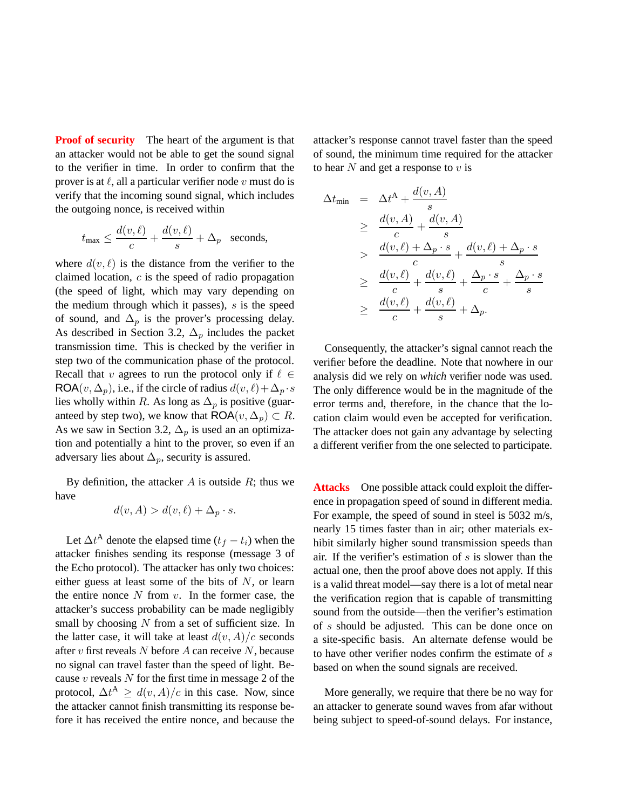**Proof of security** The heart of the argument is that an attacker would not be able to get the sound signal to the verifier in time. In order to confirm that the prover is at  $\ell$ , all a particular verifier node v must do is verify that the incoming sound signal, which includes the outgoing nonce, is received within

$$
t_{\max} \leq \frac{d(v,\ell)}{c} + \frac{d(v,\ell)}{s} + \Delta_p
$$
 seconds,

where  $d(v, \ell)$  is the distance from the verifier to the claimed location, c is the speed of radio propagation (the speed of light, which may vary depending on the medium through which it passes),  $s$  is the speed of sound, and  $\Delta_p$  is the prover's processing delay. As described in Section 3.2,  $\Delta_p$  includes the packet transmission time. This is checked by the verifier in step two of the communication phase of the protocol. Recall that v agrees to run the protocol only if  $\ell \in$ ROA $(v, \Delta_p)$ , i.e., if the circle of radius  $d(v, \ell) + \Delta_p \cdot s$ lies wholly within R. As long as  $\Delta_p$  is positive (guaranteed by step two), we know that  $\textsf{ROA}(v, \Delta_p) \subset R$ . As we saw in Section 3.2,  $\Delta_p$  is used an an optimization and potentially a hint to the prover, so even if an adversary lies about  $\Delta_p$ , security is assured.

By definition, the attacker  $A$  is outside  $R$ ; thus we have

$$
d(v, A) > d(v, \ell) + \Delta_p \cdot s.
$$

Let  $\Delta t^{\mathbf{A}}$  denote the elapsed time  $(t_f - t_i)$  when the attacker finishes sending its response (message 3 of the Echo protocol). The attacker has only two choices: either guess at least some of the bits of  $N$ , or learn the entire nonce  $N$  from  $v$ . In the former case, the attacker's success probability can be made negligibly small by choosing  $N$  from a set of sufficient size. In the latter case, it will take at least  $d(v, A)/c$  seconds after  $v$  first reveals  $N$  before  $A$  can receive  $N$ , because no signal can travel faster than the speed of light. Because  $v$  reveals  $N$  for the first time in message 2 of the protocol,  $\Delta t^A \ge d(v, A)/c$  in this case. Now, since the attacker cannot finish transmitting its response before it has received the entire nonce, and because the

attacker's response cannot travel faster than the speed of sound, the minimum time required for the attacker to hear  $N$  and get a response to  $v$  is

$$
\Delta t_{\min} = \Delta t^{A} + \frac{d(v, A)}{s}
$$
\n
$$
\geq \frac{d(v, A)}{c} + \frac{d(v, A)}{s}
$$
\n
$$
> \frac{d(v, \ell) + \Delta_{p} \cdot s}{c} + \frac{d(v, \ell) + \Delta_{p} \cdot s}{s}
$$
\n
$$
\geq \frac{d(v, \ell)}{c} + \frac{d(v, \ell)}{s} + \frac{\Delta_{p} \cdot s}{c} + \frac{\Delta_{p} \cdot s}{s}
$$
\n
$$
\geq \frac{d(v, \ell)}{c} + \frac{d(v, \ell)}{s} + \Delta_{p}.
$$

Consequently, the attacker's signal cannot reach the verifier before the deadline. Note that nowhere in our analysis did we rely on *which* verifier node was used. The only difference would be in the magnitude of the error terms and, therefore, in the chance that the location claim would even be accepted for verification. The attacker does not gain any advantage by selecting a different verifier from the one selected to participate.

**Attacks** One possible attack could exploit the difference in propagation speed of sound in different media. For example, the speed of sound in steel is 5032 m/s, nearly 15 times faster than in air; other materials exhibit similarly higher sound transmission speeds than air. If the verifier's estimation of  $s$  is slower than the actual one, then the proof above does not apply. If this is a valid threat model—say there is a lot of metal near the verification region that is capable of transmitting sound from the outside—then the verifier's estimation of s should be adjusted. This can be done once on a site-specific basis. An alternate defense would be to have other verifier nodes confirm the estimate of s based on when the sound signals are received.

More generally, we require that there be no way for an attacker to generate sound waves from afar without being subject to speed-of-sound delays. For instance,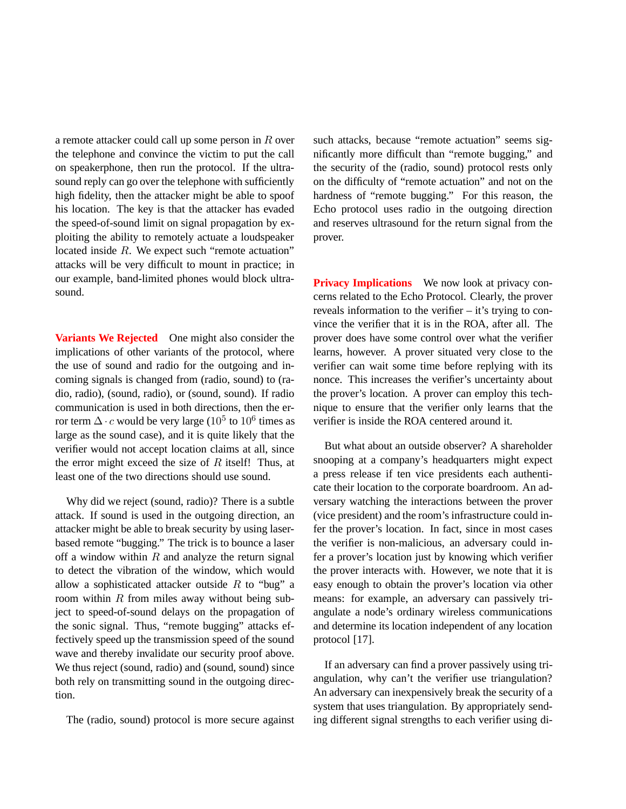a remote attacker could call up some person in R over the telephone and convince the victim to put the call on speakerphone, then run the protocol. If the ultrasound reply can go over the telephone with sufficiently high fidelity, then the attacker might be able to spoof his location. The key is that the attacker has evaded the speed-of-sound limit on signal propagation by exploiting the ability to remotely actuate a loudspeaker located inside R. We expect such "remote actuation" attacks will be very difficult to mount in practice; in our example, band-limited phones would block ultrasound.

**Variants We Rejected** One might also consider the implications of other variants of the protocol, where the use of sound and radio for the outgoing and incoming signals is changed from (radio, sound) to (radio, radio), (sound, radio), or (sound, sound). If radio communication is used in both directions, then the error term  $\Delta \cdot c$  would be very large (10<sup>5</sup> to 10<sup>6</sup> times as large as the sound case), and it is quite likely that the verifier would not accept location claims at all, since the error might exceed the size of  $R$  itself! Thus, at least one of the two directions should use sound.

Why did we reject (sound, radio)? There is a subtle attack. If sound is used in the outgoing direction, an attacker might be able to break security by using laserbased remote "bugging." The trick is to bounce a laser off a window within  $R$  and analyze the return signal to detect the vibration of the window, which would allow a sophisticated attacker outside  $R$  to "bug" a room within  $R$  from miles away without being subject to speed-of-sound delays on the propagation of the sonic signal. Thus, "remote bugging" attacks effectively speed up the transmission speed of the sound wave and thereby invalidate our security proof above. We thus reject (sound, radio) and (sound, sound) since both rely on transmitting sound in the outgoing direction.

The (radio, sound) protocol is more secure against

such attacks, because "remote actuation" seems significantly more difficult than "remote bugging," and the security of the (radio, sound) protocol rests only on the difficulty of "remote actuation" and not on the hardness of "remote bugging." For this reason, the Echo protocol uses radio in the outgoing direction and reserves ultrasound for the return signal from the prover.

**Privacy Implications** We now look at privacy concerns related to the Echo Protocol. Clearly, the prover reveals information to the verifier – it's trying to convince the verifier that it is in the ROA, after all. The prover does have some control over what the verifier learns, however. A prover situated very close to the verifier can wait some time before replying with its nonce. This increases the verifier's uncertainty about the prover's location. A prover can employ this technique to ensure that the verifier only learns that the verifier is inside the ROA centered around it.

But what about an outside observer? A shareholder snooping at a company's headquarters might expect a press release if ten vice presidents each authenticate their location to the corporate boardroom. An adversary watching the interactions between the prover (vice president) and the room's infrastructure could infer the prover's location. In fact, since in most cases the verifier is non-malicious, an adversary could infer a prover's location just by knowing which verifier the prover interacts with. However, we note that it is easy enough to obtain the prover's location via other means: for example, an adversary can passively triangulate a node's ordinary wireless communications and determine its location independent of any location protocol [17].

If an adversary can find a prover passively using triangulation, why can't the verifier use triangulation? An adversary can inexpensively break the security of a system that uses triangulation. By appropriately sending different signal strengths to each verifier using di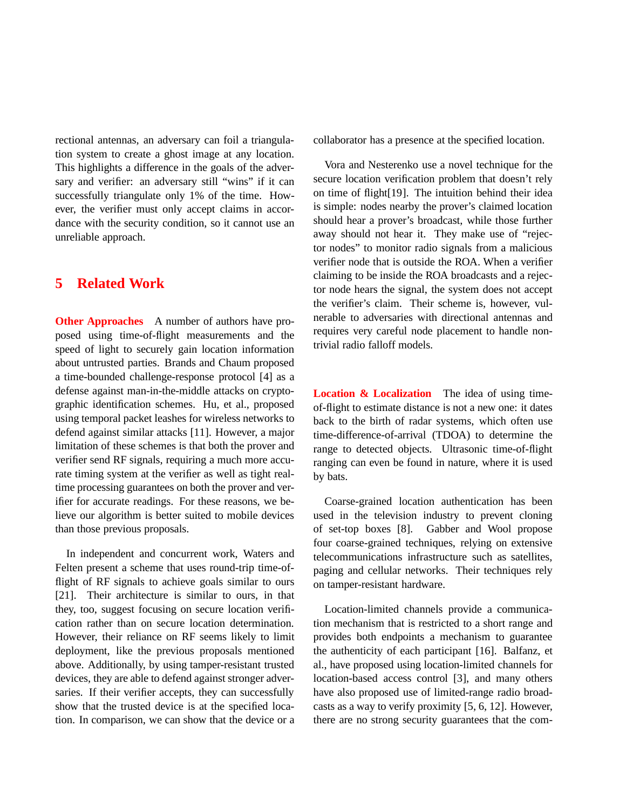rectional antennas, an adversary can foil a triangulation system to create a ghost image at any location. This highlights a difference in the goals of the adversary and verifier: an adversary still "wins" if it can successfully triangulate only 1% of the time. However, the verifier must only accept claims in accordance with the security condition, so it cannot use an unreliable approach.

# **5 Related Work**

**Other Approaches** A number of authors have proposed using time-of-flight measurements and the speed of light to securely gain location information about untrusted parties. Brands and Chaum proposed a time-bounded challenge-response protocol [4] as a defense against man-in-the-middle attacks on cryptographic identification schemes. Hu, et al., proposed using temporal packet leashes for wireless networks to defend against similar attacks [11]. However, a major limitation of these schemes is that both the prover and verifier send RF signals, requiring a much more accurate timing system at the verifier as well as tight realtime processing guarantees on both the prover and verifier for accurate readings. For these reasons, we believe our algorithm is better suited to mobile devices than those previous proposals.

In independent and concurrent work, Waters and Felten present a scheme that uses round-trip time-offlight of RF signals to achieve goals similar to ours [21]. Their architecture is similar to ours, in that they, too, suggest focusing on secure location verification rather than on secure location determination. However, their reliance on RF seems likely to limit deployment, like the previous proposals mentioned above. Additionally, by using tamper-resistant trusted devices, they are able to defend against stronger adversaries. If their verifier accepts, they can successfully show that the trusted device is at the specified location. In comparison, we can show that the device or a

collaborator has a presence at the specified location.

Vora and Nesterenko use a novel technique for the secure location verification problem that doesn't rely on time of flight[19]. The intuition behind their idea is simple: nodes nearby the prover's claimed location should hear a prover's broadcast, while those further away should not hear it. They make use of "rejector nodes" to monitor radio signals from a malicious verifier node that is outside the ROA. When a verifier claiming to be inside the ROA broadcasts and a rejector node hears the signal, the system does not accept the verifier's claim. Their scheme is, however, vulnerable to adversaries with directional antennas and requires very careful node placement to handle nontrivial radio falloff models.

**Location & Localization** The idea of using timeof-flight to estimate distance is not a new one: it dates back to the birth of radar systems, which often use time-difference-of-arrival (TDOA) to determine the range to detected objects. Ultrasonic time-of-flight ranging can even be found in nature, where it is used by bats.

Coarse-grained location authentication has been used in the television industry to prevent cloning of set-top boxes [8]. Gabber and Wool propose four coarse-grained techniques, relying on extensive telecommunications infrastructure such as satellites, paging and cellular networks. Their techniques rely on tamper-resistant hardware.

Location-limited channels provide a communication mechanism that is restricted to a short range and provides both endpoints a mechanism to guarantee the authenticity of each participant [16]. Balfanz, et al., have proposed using location-limited channels for location-based access control [3], and many others have also proposed use of limited-range radio broadcasts as a way to verify proximity [5, 6, 12]. However, there are no strong security guarantees that the com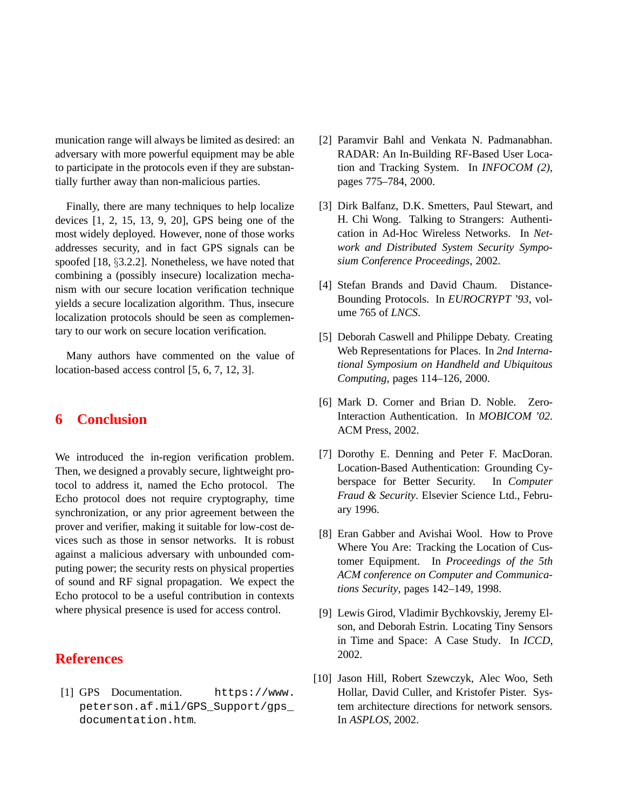munication range will always be limited as desired: an adversary with more powerful equipment may be able to participate in the protocols even if they are substantially further away than non-malicious parties.

Finally, there are many techniques to help localize devices [1, 2, 15, 13, 9, 20], GPS being one of the most widely deployed. However, none of those works addresses security, and in fact GPS signals can be spoofed [18, §3.2.2]. Nonetheless, we have noted that combining a (possibly insecure) localization mechanism with our secure location verification technique yields a secure localization algorithm. Thus, insecure localization protocols should be seen as complementary to our work on secure location verification.

Many authors have commented on the value of location-based access control [5, 6, 7, 12, 3].

## **6 Conclusion**

We introduced the in-region verification problem. Then, we designed a provably secure, lightweight protocol to address it, named the Echo protocol. The Echo protocol does not require cryptography, time synchronization, or any prior agreement between the prover and verifier, making it suitable for low-cost devices such as those in sensor networks. It is robust against a malicious adversary with unbounded computing power; the security rests on physical properties of sound and RF signal propagation. We expect the Echo protocol to be a useful contribution in contexts where physical presence is used for access control.

# **References**

[1] GPS Documentation. https://www. peterson.af.mil/GPS\_Support/gps\_ documentation.htm.

- [2] Paramvir Bahl and Venkata N. Padmanabhan. RADAR: An In-Building RF-Based User Location and Tracking System. In *INFOCOM (2)*, pages 775–784, 2000.
- [3] Dirk Balfanz, D.K. Smetters, Paul Stewart, and H. Chi Wong. Talking to Strangers: Authentication in Ad-Hoc Wireless Networks. In *Network and Distributed System Security Symposium Conference Proceedings*, 2002.
- [4] Stefan Brands and David Chaum. Distance-Bounding Protocols. In *EUROCRYPT '93*, volume 765 of *LNCS*.
- [5] Deborah Caswell and Philippe Debaty. Creating Web Representations for Places. In *2nd International Symposium on Handheld and Ubiquitous Computing*, pages 114–126, 2000.
- [6] Mark D. Corner and Brian D. Noble. Zero-Interaction Authentication. In *MOBICOM '02*. ACM Press, 2002.
- [7] Dorothy E. Denning and Peter F. MacDoran. Location-Based Authentication: Grounding Cyberspace for Better Security. In *Computer Fraud & Security*. Elsevier Science Ltd., February 1996.
- [8] Eran Gabber and Avishai Wool. How to Prove Where You Are: Tracking the Location of Customer Equipment. In *Proceedings of the 5th ACM conference on Computer and Communications Security*, pages 142–149, 1998.
- [9] Lewis Girod, Vladimir Bychkovskiy, Jeremy Elson, and Deborah Estrin. Locating Tiny Sensors in Time and Space: A Case Study. In *ICCD*, 2002.
- [10] Jason Hill, Robert Szewczyk, Alec Woo, Seth Hollar, David Culler, and Kristofer Pister. System architecture directions for network sensors. In *ASPLOS*, 2002.